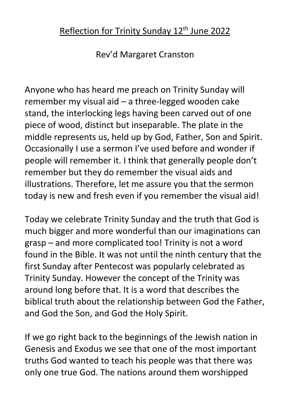## Reflection for Trinity Sunday 12<sup>th</sup> June 2022

Rev'd Margaret Cranston

Anyone who has heard me preach on Trinity Sunday will remember my visual aid – a three-legged wooden cake stand, the interlocking legs having been carved out of one piece of wood, distinct but inseparable. The plate in the middle represents us, held up by God, Father, Son and Spirit. Occasionally I use a sermon I've used before and wonder if people will remember it. I think that generally people don't remember but they do remember the visual aids and illustrations. Therefore, let me assure you that the sermon today is new and fresh even if you remember the visual aid!

Today we celebrate Trinity Sunday and the truth that God is much bigger and more wonderful than our imaginations can grasp – and more complicated too! Trinity is not a word found in the Bible. It was not until the ninth century that the first Sunday after Pentecost was popularly celebrated as Trinity Sunday. However the concept of the Trinity was around long before that. It is a word that describes the biblical truth about the relationship between God the Father, and God the Son, and God the Holy Spirit.

If we go right back to the beginnings of the Jewish nation in Genesis and Exodus we see that one of the most important truths God wanted to teach his people was that there was only one true God. The nations around them worshipped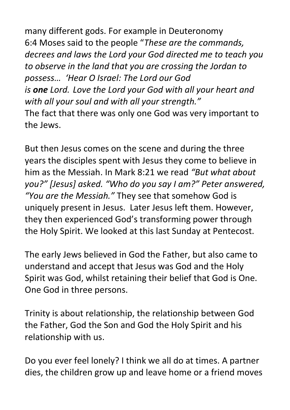many different gods. For example in Deuteronomy 6:4 Moses said to the people "*These are the commands, decrees and laws the Lord your God directed me to teach you to observe in the land that you are crossing the Jordan to possess… 'Hear O Israel: The Lord our God is one Lord. Love the Lord your God with all your heart and with all your soul and with all your strength."* The fact that there was only one God was very important to the Jews.

But then Jesus comes on the scene and during the three years the disciples spent with Jesus they come to believe in him as the Messiah. In Mark 8:21 we read *"But what about you?" [Jesus] asked. "Who do you say I am?" Peter answered, "You are the Messiah."* They see that somehow God is uniquely present in Jesus. Later Jesus left them. However, they then experienced God's transforming power through the Holy Spirit. We looked at this last Sunday at Pentecost.

The early Jews believed in God the Father, but also came to understand and accept that Jesus was God and the Holy Spirit was God, whilst retaining their belief that God is One. One God in three persons.

Trinity is about relationship, the relationship between God the Father, God the Son and God the Holy Spirit and his relationship with us.

Do you ever feel lonely? I think we all do at times. A partner dies, the children grow up and leave home or a friend moves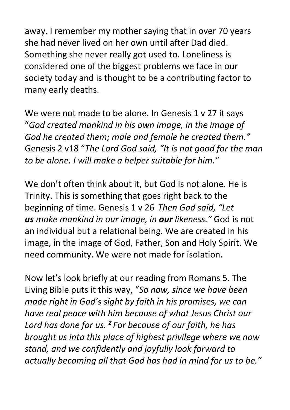away. I remember my mother saying that in over 70 years she had never lived on her own until after Dad died. Something she never really got used to. Loneliness is considered one of the biggest problems we face in our society today and is thought to be a contributing factor to many early deaths.

We were not made to be alone. In Genesis 1 v 27 it says "*God created mankind in his own image, in the image of God he created them; male and female he created them."* Genesis 2 v18 "*The Lord God said, "It is not good for the man to be alone. I will make a helper suitable for him."*

We don't often think about it, but God is not alone. He is Trinity. This is something that goes right back to the beginning of time. Genesis 1 v 26 *Then God said, "Let us make mankind in our image, in our likeness."* God is not an individual but a relational being. We are created in his image, in the image of God, Father, Son and Holy Spirit. We need community. We were not made for isolation.

Now let's look briefly at our reading from Romans 5. The Living Bible puts it this way, "*So now, since we have been made right in God's sight by faith in his promises, we can have real peace with him because of what Jesus Christ our Lord has done for us. <sup>2</sup> For because of our faith, he has brought us into this place of highest privilege where we now stand, and we confidently and joyfully look forward to actually becoming all that God has had in mind for us to be."*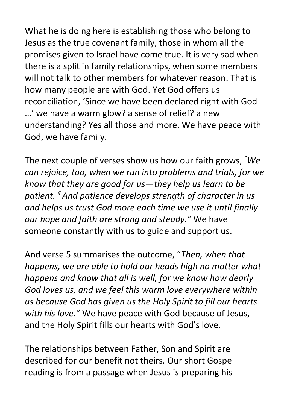What he is doing here is establishing those who belong to Jesus as the true covenant family, those in whom all the promises given to Israel have come true. It is very sad when there is a split in family relationships, when some members will not talk to other members for whatever reason. That is how many people are with God. Yet God offers us reconciliation, 'Since we have been declared right with God …' we have a warm glow? a sense of relief? a new understanding? Yes all those and more. We have peace with God, we have family.

The next couple of verses show us how our faith grows, *"We can rejoice, too, when we run into problems and trials, for we know that they are good for us—they help us learn to be patient. <sup>4</sup> And patience develops strength of character in us and helps us trust God more each time we use it until finally our hope and faith are strong and steady."* We have someone constantly with us to guide and support us.

And verse 5 summarises the outcome, "*Then, when that happens, we are able to hold our heads high no matter what happens and know that all is well, for we know how dearly God loves us, and we feel this warm love everywhere within us because God has given us the Holy Spirit to fill our hearts with his love."* We have peace with God because of Jesus, and the Holy Spirit fills our hearts with God's love.

The relationships between Father, Son and Spirit are described for our benefit not theirs. Our short Gospel reading is from a passage when Jesus is preparing his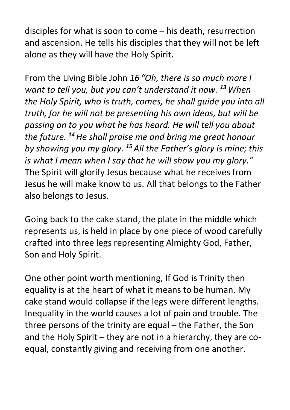disciples for what is soon to come – his death, resurrection and ascension. He tells his disciples that they will not be left alone as they will have the Holy Spirit.

From the Living Bible John *16 "Oh, there is so much more I want to tell you, but you can't understand it now. <sup>13</sup>When the Holy Spirit, who is truth, comes, he shall guide you into all truth, for he will not be presenting his own ideas, but will be passing on to you what he has heard. He will tell you about the future. <sup>14</sup>He shall praise me and bring me great honour by showing you my glory. <sup>15</sup> All the Father's glory is mine; this is what I mean when I say that he will show you my glory."* The Spirit will glorify Jesus because what he receives from Jesus he will make know to us. All that belongs to the Father also belongs to Jesus.

Going back to the cake stand, the plate in the middle which represents us, is held in place by one piece of wood carefully crafted into three legs representing Almighty God, Father, Son and Holy Spirit.

One other point worth mentioning, If God is Trinity then equality is at the heart of what it means to be human. My cake stand would collapse if the legs were different lengths. Inequality in the world causes a lot of pain and trouble. The three persons of the trinity are equal – the Father, the Son and the Holy Spirit – they are not in a hierarchy, they are coequal, constantly giving and receiving from one another.